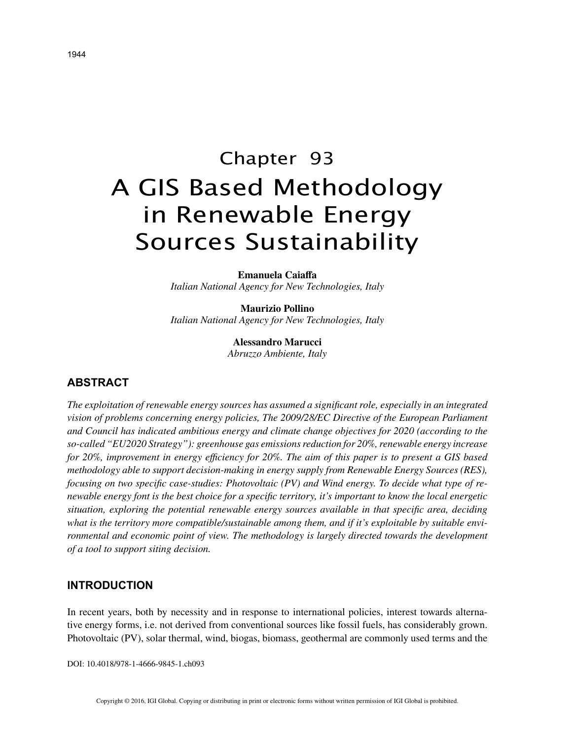# Chapter 93 A GIS Based Methodology in Renewable Energy Sources Sustainability

**Emanuela Caiaffa** *Italian National Agency for New Technologies, Italy*

**Maurizio Pollino** *Italian National Agency for New Technologies, Italy*

> **Alessandro Marucci** *Abruzzo Ambiente, Italy*

# **ABSTRACT**

*The exploitation of renewable energy sources has assumed a significant role, especially in an integrated vision of problems concerning energy policies, The 2009/28/EC Directive of the European Parliament and Council has indicated ambitious energy and climate change objectives for 2020 (according to the so-called "EU2020 Strategy"): greenhouse gas emissions reduction for 20%, renewable energy increase for 20%, improvement in energy efficiency for 20%. The aim of this paper is to present a GIS based methodology able to support decision-making in energy supply from Renewable Energy Sources (RES), focusing on two specific case-studies: Photovoltaic (PV) and Wind energy. To decide what type of renewable energy font is the best choice for a specific territory, it's important to know the local energetic situation, exploring the potential renewable energy sources available in that specific area, deciding what is the territory more compatible/sustainable among them, and if it's exploitable by suitable environmental and economic point of view. The methodology is largely directed towards the development of a tool to support siting decision.*

## **INTRODUCTION**

In recent years, both by necessity and in response to international policies, interest towards alternative energy forms, i.e. not derived from conventional sources like fossil fuels, has considerably grown. Photovoltaic (PV), solar thermal, wind, biogas, biomass, geothermal are commonly used terms and the

DOI: 10.4018/978-1-4666-9845-1.ch093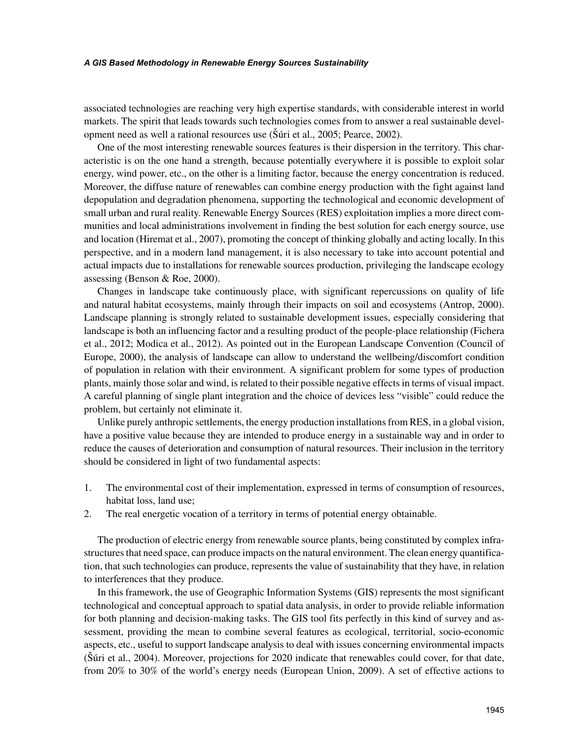#### *A GIS Based Methodology in Renewable Energy Sources Sustainability*

associated technologies are reaching very high expertise standards, with considerable interest in world markets. The spirit that leads towards such technologies comes from to answer a real sustainable development need as well a rational resources use (Šúri et al., 2005; Pearce, 2002).

One of the most interesting renewable sources features is their dispersion in the territory. This characteristic is on the one hand a strength, because potentially everywhere it is possible to exploit solar energy, wind power, etc., on the other is a limiting factor, because the energy concentration is reduced. Moreover, the diffuse nature of renewables can combine energy production with the fight against land depopulation and degradation phenomena, supporting the technological and economic development of small urban and rural reality. Renewable Energy Sources (RES) exploitation implies a more direct communities and local administrations involvement in finding the best solution for each energy source, use and location (Hiremat et al., 2007), promoting the concept of thinking globally and acting locally. In this perspective, and in a modern land management, it is also necessary to take into account potential and actual impacts due to installations for renewable sources production, privileging the landscape ecology assessing (Benson & Roe, 2000).

Changes in landscape take continuously place, with significant repercussions on quality of life and natural habitat ecosystems, mainly through their impacts on soil and ecosystems (Antrop, 2000). Landscape planning is strongly related to sustainable development issues, especially considering that landscape is both an influencing factor and a resulting product of the people-place relationship (Fichera et al., 2012; Modica et al., 2012). As pointed out in the European Landscape Convention (Council of Europe, 2000), the analysis of landscape can allow to understand the wellbeing/discomfort condition of population in relation with their environment. A significant problem for some types of production plants, mainly those solar and wind, is related to their possible negative effects in terms of visual impact. A careful planning of single plant integration and the choice of devices less "visible" could reduce the problem, but certainly not eliminate it.

Unlike purely anthropic settlements, the energy production installations from RES, in a global vision, have a positive value because they are intended to produce energy in a sustainable way and in order to reduce the causes of deterioration and consumption of natural resources. Their inclusion in the territory should be considered in light of two fundamental aspects:

- 1. The environmental cost of their implementation, expressed in terms of consumption of resources, habitat loss, land use;
- 2. The real energetic vocation of a territory in terms of potential energy obtainable.

The production of electric energy from renewable source plants, being constituted by complex infrastructures that need space, can produce impacts on the natural environment. The clean energy quantification, that such technologies can produce, represents the value of sustainability that they have, in relation to interferences that they produce.

In this framework, the use of Geographic Information Systems (GIS) represents the most significant technological and conceptual approach to spatial data analysis, in order to provide reliable information for both planning and decision-making tasks. The GIS tool fits perfectly in this kind of survey and assessment, providing the mean to combine several features as ecological, territorial, socio-economic aspects, etc., useful to support landscape analysis to deal with issues concerning environmental impacts (Šúri et al., 2004). Moreover, projections for 2020 indicate that renewables could cover, for that date, from 20% to 30% of the world's energy needs (European Union, 2009). A set of effective actions to